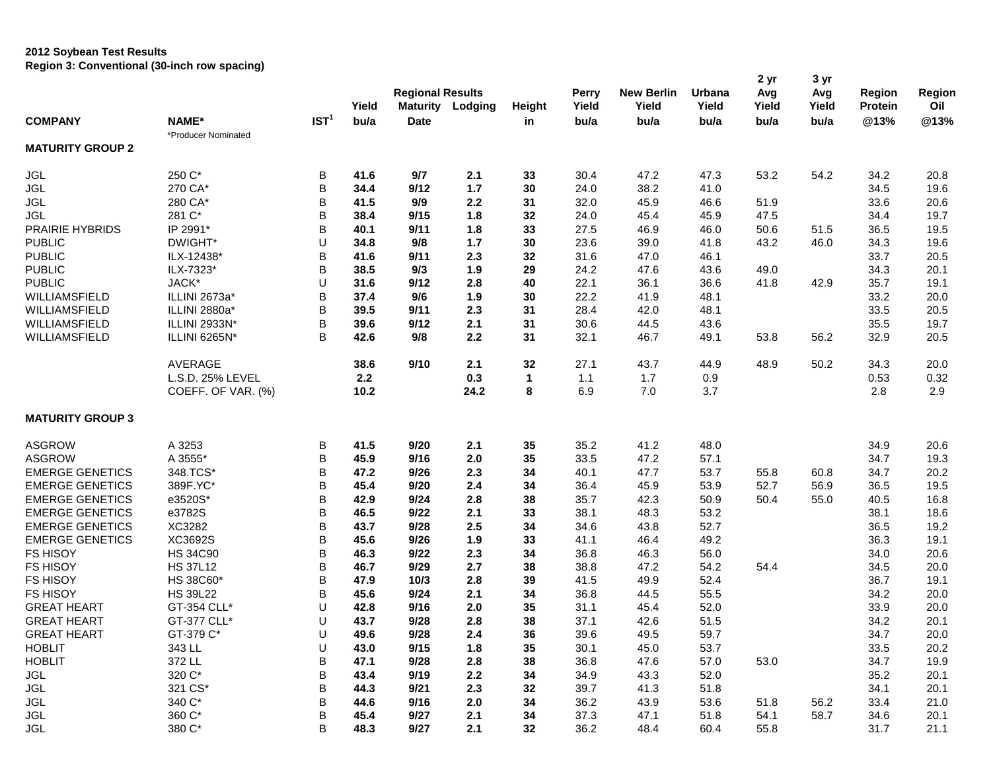## **2012 Soybean Test Results Region 3: Conventional (30-inch row spacing)**

| Avg<br>Avg<br>Region<br>Yield<br>Yield<br>Oil<br>Yield<br><b>Maturity</b><br>Lodging<br>Yield<br>Yield<br>Yield<br>Protein<br>Height<br>IST <sup>1</sup><br>@13%<br><b>COMPANY</b><br>NAME*<br>bu/a<br>bu/a<br>@13%<br><b>Date</b><br>bu/a<br>bu/a<br>bu/a<br>bu/a<br>in<br>*Producer Nominated<br><b>MATURITY GROUP 2</b><br>250 C*<br><b>JGL</b><br>B<br>9/7<br>2.1<br>33<br>30.4<br>47.2<br>47.3<br>53.2<br>54.2<br>41.6<br>34.2<br>20.8<br><b>JGL</b><br>B<br>270 CA*<br>34.4<br>9/12<br>1.7<br>30<br>24.0<br>38.2<br>41.0<br>34.5<br>19.6<br><b>JGL</b><br>B<br>280 CA*<br>9/9<br>2.2<br>32.0<br>46.6<br>51.9<br>20.6<br>41.5<br>31<br>45.9<br>33.6<br>B<br><b>JGL</b><br>281 C*<br>38.4<br>9/15<br>1.8<br>32<br>24.0<br>45.9<br>47.5<br>19.7<br>45.4<br>34.4<br>B<br>PRAIRIE HYBRIDS<br>IP 2991*<br>40.1<br>9/11<br>1.8<br>33<br>27.5<br>46.9<br>46.0<br>50.6<br>36.5<br>19.5<br>51.5<br><b>PUBLIC</b><br>DWIGHT*<br>U<br>34.8<br>9/8<br>$1.7$<br>30<br>23.6<br>39.0<br>41.8<br>46.0<br>19.6<br>43.2<br>34.3<br><b>PUBLIC</b><br>B<br>41.6<br>9/11<br>2.3<br>31.6<br>47.0<br>20.5<br>ILX-12438*<br>32<br>46.1<br>33.7<br>В<br><b>PUBLIC</b><br>ILX-7323*<br>9/3<br>1.9<br>24.2<br>43.6<br>20.1<br>38.5<br>29<br>47.6<br>49.0<br>34.3<br>U<br><b>PUBLIC</b><br>JACK*<br>31.6<br>9/12<br>2.8<br>22.1<br>36.1<br>36.6<br>41.8<br>19.1<br>40<br>42.9<br>35.7<br>B<br>WILLIAMSFIELD<br>ILLINI 2673a*<br>37.4<br>9/6<br>1.9<br>30<br>22.2<br>48.1<br>33.2<br>20.0<br>41.9<br>В<br>WILLIAMSFIELD<br>ILLINI 2880a*<br>39.5<br>9/11<br>2.3<br>31<br>28.4<br>42.0<br>48.1<br>33.5<br>20.5<br>В<br>WILLIAMSFIELD<br>ILLINI 2933N*<br>39.6<br>9/12<br>30.6<br>43.6<br>19.7<br>2.1<br>31<br>44.5<br>35.5<br>B<br>WILLIAMSFIELD<br>ILLINI 6265N*<br>9/8<br>2.2<br>32.1<br>56.2<br>42.6<br>31<br>46.7<br>49.1<br>53.8<br>32.9<br>20.5<br>AVERAGE<br>38.6<br>9/10<br>2.1<br>32<br>27.1<br>43.7<br>50.2<br>34.3<br>44.9<br>48.9<br>20.0<br>2.2<br>L.S.D. 25% LEVEL<br>0.3<br>1.1<br>1.7<br>0.9<br>0.53<br>0.32<br>$\mathbf{1}$<br>8<br>COEFF. OF VAR. (%)<br>10.2<br>24.2<br>6.9<br>7.0<br>3.7<br>2.9<br>2.8<br><b>MATURITY GROUP 3</b><br><b>ASGROW</b><br>A 3253<br>B<br>41.5<br>9/20<br>35<br>48.0<br>2.1<br>35.2<br>41.2<br>34.9<br>20.6<br>B<br>A 3555*<br><b>ASGROW</b><br>45.9<br>9/16<br>2.0<br>35<br>33.5<br>47.2<br>57.1<br>34.7<br>19.3<br>B<br><b>EMERGE GENETICS</b><br>348.TCS*<br>2.3<br>53.7<br>20.2<br>47.2<br>9/26<br>34<br>40.1<br>47.7<br>55.8<br>60.8<br>34.7<br>B<br><b>EMERGE GENETICS</b><br>389F.YC*<br>45.4<br>9/20<br>2.4<br>36.4<br>53.9<br>19.5<br>34<br>45.9<br>52.7<br>56.9<br>36.5<br>В<br><b>EMERGE GENETICS</b><br>e3520S*<br>42.9<br>9/24<br>2.8<br>38<br>35.7<br>42.3<br>50.9<br>50.4<br>55.0<br>16.8<br>40.5<br><b>EMERGE GENETICS</b><br>e3782S<br>В<br>46.5<br>9/22<br>2.1<br>33<br>38.1<br>53.2<br>18.6<br>48.3<br>38.1<br>XC3282<br>В<br><b>EMERGE GENETICS</b><br>9/28<br>2.5<br>34<br>34.6<br>52.7<br>19.2<br>43.7<br>43.8<br>36.5<br>B<br><b>EMERGE GENETICS</b><br>XC3692S<br>45.6<br>9/26<br>1.9<br>49.2<br>19.1<br>33<br>41.1<br>46.4<br>36.3<br>B<br><b>FS HISOY</b><br><b>HS 34C90</b><br>2.3<br>36.8<br>56.0<br>20.6<br>46.3<br>9/22<br>34<br>46.3<br>34.0<br>B<br><b>FS HISOY</b><br><b>HS 37L12</b><br>46.7<br>9/29<br>2.7<br>38<br>38.8<br>47.2<br>54.2<br>54.4<br>20.0<br>34.5<br><b>FS HISOY</b><br>B<br>HS 38C60*<br>47.9<br>10/3<br>2.8<br>39<br>41.5<br>49.9<br>52.4<br>36.7<br>19.1<br>В<br><b>FS HISOY</b><br><b>HS 39L22</b><br>55.5<br>20.0<br>45.6<br>9/24<br>2.1<br>34<br>36.8<br>44.5<br>34.2<br><b>GREAT HEART</b><br>U<br>9/16<br>52.0<br>33.9<br>20.0<br>GT-354 CLL*<br>42.8<br>2.0<br>35<br>31.1<br>45.4<br>U<br>43.7<br>9/28<br>2.8<br>38<br>37.1<br>51.5<br>20.1<br><b>GREAT HEART</b><br>GT-377 CLL*<br>42.6<br>34.2<br><b>GREAT HEART</b><br>GT-379 C*<br>U<br>49.6<br>9/28<br>$2.4\,$<br>36<br>39.6<br>49.5<br>59.7<br>34.7<br>20.0<br><b>HOBLIT</b><br>343 LL<br>U<br>9/15<br>43.0<br>1.8<br>35<br>30.1<br>45.0<br>53.7<br>33.5<br>20.2<br><b>HOBLIT</b><br>372 LL<br>В<br>36.8<br>47.6<br>57.0<br>53.0<br>34.7<br>19.9<br>47.1<br>9/28<br>2.8<br>38<br>320 C*<br>B<br>$2.2\,$<br>52.0<br>43.4<br>9/19<br>34.9<br>43.3<br>35.2<br>20.1<br>JGL<br>34<br>B<br>321 CS*<br>44.3<br>39.7<br>51.8<br>JGL<br>9/21<br>2.3<br>32<br>41.3<br>34.1<br>20.1<br>340 C*<br>B<br><b>JGL</b><br>44.6<br>9/16<br>2.0<br>36.2<br>43.9<br>53.6<br>21.0<br>34<br>51.8<br>56.2<br>33.4<br>360 C*<br>B<br><b>JGL</b><br>45.4<br>9/27<br>2.1<br>34<br>37.3<br>47.1<br>51.8<br>54.1<br>58.7<br>34.6<br>20.1<br>380 C*<br>JGL<br>B<br>48.3<br>9/27<br>2.1<br>32<br>36.2<br>48.4<br>60.4<br>55.8<br>21.1<br>31.7 |  |  |  |                         |  |  |       |                   |        | 2 yr | 3 yr |        |
|--------------------------------------------------------------------------------------------------------------------------------------------------------------------------------------------------------------------------------------------------------------------------------------------------------------------------------------------------------------------------------------------------------------------------------------------------------------------------------------------------------------------------------------------------------------------------------------------------------------------------------------------------------------------------------------------------------------------------------------------------------------------------------------------------------------------------------------------------------------------------------------------------------------------------------------------------------------------------------------------------------------------------------------------------------------------------------------------------------------------------------------------------------------------------------------------------------------------------------------------------------------------------------------------------------------------------------------------------------------------------------------------------------------------------------------------------------------------------------------------------------------------------------------------------------------------------------------------------------------------------------------------------------------------------------------------------------------------------------------------------------------------------------------------------------------------------------------------------------------------------------------------------------------------------------------------------------------------------------------------------------------------------------------------------------------------------------------------------------------------------------------------------------------------------------------------------------------------------------------------------------------------------------------------------------------------------------------------------------------------------------------------------------------------------------------------------------------------------------------------------------------------------------------------------------------------------------------------------------------------------------------------------------------------------------------------------------------------------------------------------------------------------------------------------------------------------------------------------------------------------------------------------------------------------------------------------------------------------------------------------------------------------------------------------------------------------------------------------------------------------------------------------------------------------------------------------------------------------------------------------------------------------------------------------------------------------------------------------------------------------------------------------------------------------------------------------------------------------------------------------------------------------------------------------------------------------------------------------------------------------------------------------------------------------------------------------------------------------------------------------------------------------------------------------------------------------------------------------------------------------------------------------------------------------------------------------------------------------------------------------------------------------------------------------------------------------------------------------------------------------------------------------------------------------------------------------------------------------------------------------------------------------------------------------------------------------------------------------------------------------------------------------------------------------------------------------------------------------------------------------------------------------------------------------------------------------------------------------------------------------------------------------------|--|--|--|-------------------------|--|--|-------|-------------------|--------|------|------|--------|
|                                                                                                                                                                                                                                                                                                                                                                                                                                                                                                                                                                                                                                                                                                                                                                                                                                                                                                                                                                                                                                                                                                                                                                                                                                                                                                                                                                                                                                                                                                                                                                                                                                                                                                                                                                                                                                                                                                                                                                                                                                                                                                                                                                                                                                                                                                                                                                                                                                                                                                                                                                                                                                                                                                                                                                                                                                                                                                                                                                                                                                                                                                                                                                                                                                                                                                                                                                                                                                                                                                                                                                                                                                                                                                                                                                                                                                                                                                                                                                                                                                                                                                                                                                                                                                                                                                                                                                                                                                                                                                                                                                                                                                                        |  |  |  | <b>Regional Results</b> |  |  | Perry | <b>New Berlin</b> | Urbana |      |      | Region |
|                                                                                                                                                                                                                                                                                                                                                                                                                                                                                                                                                                                                                                                                                                                                                                                                                                                                                                                                                                                                                                                                                                                                                                                                                                                                                                                                                                                                                                                                                                                                                                                                                                                                                                                                                                                                                                                                                                                                                                                                                                                                                                                                                                                                                                                                                                                                                                                                                                                                                                                                                                                                                                                                                                                                                                                                                                                                                                                                                                                                                                                                                                                                                                                                                                                                                                                                                                                                                                                                                                                                                                                                                                                                                                                                                                                                                                                                                                                                                                                                                                                                                                                                                                                                                                                                                                                                                                                                                                                                                                                                                                                                                                                        |  |  |  |                         |  |  |       |                   |        |      |      |        |
|                                                                                                                                                                                                                                                                                                                                                                                                                                                                                                                                                                                                                                                                                                                                                                                                                                                                                                                                                                                                                                                                                                                                                                                                                                                                                                                                                                                                                                                                                                                                                                                                                                                                                                                                                                                                                                                                                                                                                                                                                                                                                                                                                                                                                                                                                                                                                                                                                                                                                                                                                                                                                                                                                                                                                                                                                                                                                                                                                                                                                                                                                                                                                                                                                                                                                                                                                                                                                                                                                                                                                                                                                                                                                                                                                                                                                                                                                                                                                                                                                                                                                                                                                                                                                                                                                                                                                                                                                                                                                                                                                                                                                                                        |  |  |  |                         |  |  |       |                   |        |      |      |        |
|                                                                                                                                                                                                                                                                                                                                                                                                                                                                                                                                                                                                                                                                                                                                                                                                                                                                                                                                                                                                                                                                                                                                                                                                                                                                                                                                                                                                                                                                                                                                                                                                                                                                                                                                                                                                                                                                                                                                                                                                                                                                                                                                                                                                                                                                                                                                                                                                                                                                                                                                                                                                                                                                                                                                                                                                                                                                                                                                                                                                                                                                                                                                                                                                                                                                                                                                                                                                                                                                                                                                                                                                                                                                                                                                                                                                                                                                                                                                                                                                                                                                                                                                                                                                                                                                                                                                                                                                                                                                                                                                                                                                                                                        |  |  |  |                         |  |  |       |                   |        |      |      |        |
|                                                                                                                                                                                                                                                                                                                                                                                                                                                                                                                                                                                                                                                                                                                                                                                                                                                                                                                                                                                                                                                                                                                                                                                                                                                                                                                                                                                                                                                                                                                                                                                                                                                                                                                                                                                                                                                                                                                                                                                                                                                                                                                                                                                                                                                                                                                                                                                                                                                                                                                                                                                                                                                                                                                                                                                                                                                                                                                                                                                                                                                                                                                                                                                                                                                                                                                                                                                                                                                                                                                                                                                                                                                                                                                                                                                                                                                                                                                                                                                                                                                                                                                                                                                                                                                                                                                                                                                                                                                                                                                                                                                                                                                        |  |  |  |                         |  |  |       |                   |        |      |      |        |
|                                                                                                                                                                                                                                                                                                                                                                                                                                                                                                                                                                                                                                                                                                                                                                                                                                                                                                                                                                                                                                                                                                                                                                                                                                                                                                                                                                                                                                                                                                                                                                                                                                                                                                                                                                                                                                                                                                                                                                                                                                                                                                                                                                                                                                                                                                                                                                                                                                                                                                                                                                                                                                                                                                                                                                                                                                                                                                                                                                                                                                                                                                                                                                                                                                                                                                                                                                                                                                                                                                                                                                                                                                                                                                                                                                                                                                                                                                                                                                                                                                                                                                                                                                                                                                                                                                                                                                                                                                                                                                                                                                                                                                                        |  |  |  |                         |  |  |       |                   |        |      |      |        |
|                                                                                                                                                                                                                                                                                                                                                                                                                                                                                                                                                                                                                                                                                                                                                                                                                                                                                                                                                                                                                                                                                                                                                                                                                                                                                                                                                                                                                                                                                                                                                                                                                                                                                                                                                                                                                                                                                                                                                                                                                                                                                                                                                                                                                                                                                                                                                                                                                                                                                                                                                                                                                                                                                                                                                                                                                                                                                                                                                                                                                                                                                                                                                                                                                                                                                                                                                                                                                                                                                                                                                                                                                                                                                                                                                                                                                                                                                                                                                                                                                                                                                                                                                                                                                                                                                                                                                                                                                                                                                                                                                                                                                                                        |  |  |  |                         |  |  |       |                   |        |      |      |        |
|                                                                                                                                                                                                                                                                                                                                                                                                                                                                                                                                                                                                                                                                                                                                                                                                                                                                                                                                                                                                                                                                                                                                                                                                                                                                                                                                                                                                                                                                                                                                                                                                                                                                                                                                                                                                                                                                                                                                                                                                                                                                                                                                                                                                                                                                                                                                                                                                                                                                                                                                                                                                                                                                                                                                                                                                                                                                                                                                                                                                                                                                                                                                                                                                                                                                                                                                                                                                                                                                                                                                                                                                                                                                                                                                                                                                                                                                                                                                                                                                                                                                                                                                                                                                                                                                                                                                                                                                                                                                                                                                                                                                                                                        |  |  |  |                         |  |  |       |                   |        |      |      |        |
|                                                                                                                                                                                                                                                                                                                                                                                                                                                                                                                                                                                                                                                                                                                                                                                                                                                                                                                                                                                                                                                                                                                                                                                                                                                                                                                                                                                                                                                                                                                                                                                                                                                                                                                                                                                                                                                                                                                                                                                                                                                                                                                                                                                                                                                                                                                                                                                                                                                                                                                                                                                                                                                                                                                                                                                                                                                                                                                                                                                                                                                                                                                                                                                                                                                                                                                                                                                                                                                                                                                                                                                                                                                                                                                                                                                                                                                                                                                                                                                                                                                                                                                                                                                                                                                                                                                                                                                                                                                                                                                                                                                                                                                        |  |  |  |                         |  |  |       |                   |        |      |      |        |
|                                                                                                                                                                                                                                                                                                                                                                                                                                                                                                                                                                                                                                                                                                                                                                                                                                                                                                                                                                                                                                                                                                                                                                                                                                                                                                                                                                                                                                                                                                                                                                                                                                                                                                                                                                                                                                                                                                                                                                                                                                                                                                                                                                                                                                                                                                                                                                                                                                                                                                                                                                                                                                                                                                                                                                                                                                                                                                                                                                                                                                                                                                                                                                                                                                                                                                                                                                                                                                                                                                                                                                                                                                                                                                                                                                                                                                                                                                                                                                                                                                                                                                                                                                                                                                                                                                                                                                                                                                                                                                                                                                                                                                                        |  |  |  |                         |  |  |       |                   |        |      |      |        |
|                                                                                                                                                                                                                                                                                                                                                                                                                                                                                                                                                                                                                                                                                                                                                                                                                                                                                                                                                                                                                                                                                                                                                                                                                                                                                                                                                                                                                                                                                                                                                                                                                                                                                                                                                                                                                                                                                                                                                                                                                                                                                                                                                                                                                                                                                                                                                                                                                                                                                                                                                                                                                                                                                                                                                                                                                                                                                                                                                                                                                                                                                                                                                                                                                                                                                                                                                                                                                                                                                                                                                                                                                                                                                                                                                                                                                                                                                                                                                                                                                                                                                                                                                                                                                                                                                                                                                                                                                                                                                                                                                                                                                                                        |  |  |  |                         |  |  |       |                   |        |      |      |        |
|                                                                                                                                                                                                                                                                                                                                                                                                                                                                                                                                                                                                                                                                                                                                                                                                                                                                                                                                                                                                                                                                                                                                                                                                                                                                                                                                                                                                                                                                                                                                                                                                                                                                                                                                                                                                                                                                                                                                                                                                                                                                                                                                                                                                                                                                                                                                                                                                                                                                                                                                                                                                                                                                                                                                                                                                                                                                                                                                                                                                                                                                                                                                                                                                                                                                                                                                                                                                                                                                                                                                                                                                                                                                                                                                                                                                                                                                                                                                                                                                                                                                                                                                                                                                                                                                                                                                                                                                                                                                                                                                                                                                                                                        |  |  |  |                         |  |  |       |                   |        |      |      |        |
|                                                                                                                                                                                                                                                                                                                                                                                                                                                                                                                                                                                                                                                                                                                                                                                                                                                                                                                                                                                                                                                                                                                                                                                                                                                                                                                                                                                                                                                                                                                                                                                                                                                                                                                                                                                                                                                                                                                                                                                                                                                                                                                                                                                                                                                                                                                                                                                                                                                                                                                                                                                                                                                                                                                                                                                                                                                                                                                                                                                                                                                                                                                                                                                                                                                                                                                                                                                                                                                                                                                                                                                                                                                                                                                                                                                                                                                                                                                                                                                                                                                                                                                                                                                                                                                                                                                                                                                                                                                                                                                                                                                                                                                        |  |  |  |                         |  |  |       |                   |        |      |      |        |
|                                                                                                                                                                                                                                                                                                                                                                                                                                                                                                                                                                                                                                                                                                                                                                                                                                                                                                                                                                                                                                                                                                                                                                                                                                                                                                                                                                                                                                                                                                                                                                                                                                                                                                                                                                                                                                                                                                                                                                                                                                                                                                                                                                                                                                                                                                                                                                                                                                                                                                                                                                                                                                                                                                                                                                                                                                                                                                                                                                                                                                                                                                                                                                                                                                                                                                                                                                                                                                                                                                                                                                                                                                                                                                                                                                                                                                                                                                                                                                                                                                                                                                                                                                                                                                                                                                                                                                                                                                                                                                                                                                                                                                                        |  |  |  |                         |  |  |       |                   |        |      |      |        |
|                                                                                                                                                                                                                                                                                                                                                                                                                                                                                                                                                                                                                                                                                                                                                                                                                                                                                                                                                                                                                                                                                                                                                                                                                                                                                                                                                                                                                                                                                                                                                                                                                                                                                                                                                                                                                                                                                                                                                                                                                                                                                                                                                                                                                                                                                                                                                                                                                                                                                                                                                                                                                                                                                                                                                                                                                                                                                                                                                                                                                                                                                                                                                                                                                                                                                                                                                                                                                                                                                                                                                                                                                                                                                                                                                                                                                                                                                                                                                                                                                                                                                                                                                                                                                                                                                                                                                                                                                                                                                                                                                                                                                                                        |  |  |  |                         |  |  |       |                   |        |      |      |        |
|                                                                                                                                                                                                                                                                                                                                                                                                                                                                                                                                                                                                                                                                                                                                                                                                                                                                                                                                                                                                                                                                                                                                                                                                                                                                                                                                                                                                                                                                                                                                                                                                                                                                                                                                                                                                                                                                                                                                                                                                                                                                                                                                                                                                                                                                                                                                                                                                                                                                                                                                                                                                                                                                                                                                                                                                                                                                                                                                                                                                                                                                                                                                                                                                                                                                                                                                                                                                                                                                                                                                                                                                                                                                                                                                                                                                                                                                                                                                                                                                                                                                                                                                                                                                                                                                                                                                                                                                                                                                                                                                                                                                                                                        |  |  |  |                         |  |  |       |                   |        |      |      |        |
|                                                                                                                                                                                                                                                                                                                                                                                                                                                                                                                                                                                                                                                                                                                                                                                                                                                                                                                                                                                                                                                                                                                                                                                                                                                                                                                                                                                                                                                                                                                                                                                                                                                                                                                                                                                                                                                                                                                                                                                                                                                                                                                                                                                                                                                                                                                                                                                                                                                                                                                                                                                                                                                                                                                                                                                                                                                                                                                                                                                                                                                                                                                                                                                                                                                                                                                                                                                                                                                                                                                                                                                                                                                                                                                                                                                                                                                                                                                                                                                                                                                                                                                                                                                                                                                                                                                                                                                                                                                                                                                                                                                                                                                        |  |  |  |                         |  |  |       |                   |        |      |      |        |
|                                                                                                                                                                                                                                                                                                                                                                                                                                                                                                                                                                                                                                                                                                                                                                                                                                                                                                                                                                                                                                                                                                                                                                                                                                                                                                                                                                                                                                                                                                                                                                                                                                                                                                                                                                                                                                                                                                                                                                                                                                                                                                                                                                                                                                                                                                                                                                                                                                                                                                                                                                                                                                                                                                                                                                                                                                                                                                                                                                                                                                                                                                                                                                                                                                                                                                                                                                                                                                                                                                                                                                                                                                                                                                                                                                                                                                                                                                                                                                                                                                                                                                                                                                                                                                                                                                                                                                                                                                                                                                                                                                                                                                                        |  |  |  |                         |  |  |       |                   |        |      |      |        |
|                                                                                                                                                                                                                                                                                                                                                                                                                                                                                                                                                                                                                                                                                                                                                                                                                                                                                                                                                                                                                                                                                                                                                                                                                                                                                                                                                                                                                                                                                                                                                                                                                                                                                                                                                                                                                                                                                                                                                                                                                                                                                                                                                                                                                                                                                                                                                                                                                                                                                                                                                                                                                                                                                                                                                                                                                                                                                                                                                                                                                                                                                                                                                                                                                                                                                                                                                                                                                                                                                                                                                                                                                                                                                                                                                                                                                                                                                                                                                                                                                                                                                                                                                                                                                                                                                                                                                                                                                                                                                                                                                                                                                                                        |  |  |  |                         |  |  |       |                   |        |      |      |        |
|                                                                                                                                                                                                                                                                                                                                                                                                                                                                                                                                                                                                                                                                                                                                                                                                                                                                                                                                                                                                                                                                                                                                                                                                                                                                                                                                                                                                                                                                                                                                                                                                                                                                                                                                                                                                                                                                                                                                                                                                                                                                                                                                                                                                                                                                                                                                                                                                                                                                                                                                                                                                                                                                                                                                                                                                                                                                                                                                                                                                                                                                                                                                                                                                                                                                                                                                                                                                                                                                                                                                                                                                                                                                                                                                                                                                                                                                                                                                                                                                                                                                                                                                                                                                                                                                                                                                                                                                                                                                                                                                                                                                                                                        |  |  |  |                         |  |  |       |                   |        |      |      |        |
|                                                                                                                                                                                                                                                                                                                                                                                                                                                                                                                                                                                                                                                                                                                                                                                                                                                                                                                                                                                                                                                                                                                                                                                                                                                                                                                                                                                                                                                                                                                                                                                                                                                                                                                                                                                                                                                                                                                                                                                                                                                                                                                                                                                                                                                                                                                                                                                                                                                                                                                                                                                                                                                                                                                                                                                                                                                                                                                                                                                                                                                                                                                                                                                                                                                                                                                                                                                                                                                                                                                                                                                                                                                                                                                                                                                                                                                                                                                                                                                                                                                                                                                                                                                                                                                                                                                                                                                                                                                                                                                                                                                                                                                        |  |  |  |                         |  |  |       |                   |        |      |      |        |
|                                                                                                                                                                                                                                                                                                                                                                                                                                                                                                                                                                                                                                                                                                                                                                                                                                                                                                                                                                                                                                                                                                                                                                                                                                                                                                                                                                                                                                                                                                                                                                                                                                                                                                                                                                                                                                                                                                                                                                                                                                                                                                                                                                                                                                                                                                                                                                                                                                                                                                                                                                                                                                                                                                                                                                                                                                                                                                                                                                                                                                                                                                                                                                                                                                                                                                                                                                                                                                                                                                                                                                                                                                                                                                                                                                                                                                                                                                                                                                                                                                                                                                                                                                                                                                                                                                                                                                                                                                                                                                                                                                                                                                                        |  |  |  |                         |  |  |       |                   |        |      |      |        |
|                                                                                                                                                                                                                                                                                                                                                                                                                                                                                                                                                                                                                                                                                                                                                                                                                                                                                                                                                                                                                                                                                                                                                                                                                                                                                                                                                                                                                                                                                                                                                                                                                                                                                                                                                                                                                                                                                                                                                                                                                                                                                                                                                                                                                                                                                                                                                                                                                                                                                                                                                                                                                                                                                                                                                                                                                                                                                                                                                                                                                                                                                                                                                                                                                                                                                                                                                                                                                                                                                                                                                                                                                                                                                                                                                                                                                                                                                                                                                                                                                                                                                                                                                                                                                                                                                                                                                                                                                                                                                                                                                                                                                                                        |  |  |  |                         |  |  |       |                   |        |      |      |        |
|                                                                                                                                                                                                                                                                                                                                                                                                                                                                                                                                                                                                                                                                                                                                                                                                                                                                                                                                                                                                                                                                                                                                                                                                                                                                                                                                                                                                                                                                                                                                                                                                                                                                                                                                                                                                                                                                                                                                                                                                                                                                                                                                                                                                                                                                                                                                                                                                                                                                                                                                                                                                                                                                                                                                                                                                                                                                                                                                                                                                                                                                                                                                                                                                                                                                                                                                                                                                                                                                                                                                                                                                                                                                                                                                                                                                                                                                                                                                                                                                                                                                                                                                                                                                                                                                                                                                                                                                                                                                                                                                                                                                                                                        |  |  |  |                         |  |  |       |                   |        |      |      |        |
|                                                                                                                                                                                                                                                                                                                                                                                                                                                                                                                                                                                                                                                                                                                                                                                                                                                                                                                                                                                                                                                                                                                                                                                                                                                                                                                                                                                                                                                                                                                                                                                                                                                                                                                                                                                                                                                                                                                                                                                                                                                                                                                                                                                                                                                                                                                                                                                                                                                                                                                                                                                                                                                                                                                                                                                                                                                                                                                                                                                                                                                                                                                                                                                                                                                                                                                                                                                                                                                                                                                                                                                                                                                                                                                                                                                                                                                                                                                                                                                                                                                                                                                                                                                                                                                                                                                                                                                                                                                                                                                                                                                                                                                        |  |  |  |                         |  |  |       |                   |        |      |      |        |
|                                                                                                                                                                                                                                                                                                                                                                                                                                                                                                                                                                                                                                                                                                                                                                                                                                                                                                                                                                                                                                                                                                                                                                                                                                                                                                                                                                                                                                                                                                                                                                                                                                                                                                                                                                                                                                                                                                                                                                                                                                                                                                                                                                                                                                                                                                                                                                                                                                                                                                                                                                                                                                                                                                                                                                                                                                                                                                                                                                                                                                                                                                                                                                                                                                                                                                                                                                                                                                                                                                                                                                                                                                                                                                                                                                                                                                                                                                                                                                                                                                                                                                                                                                                                                                                                                                                                                                                                                                                                                                                                                                                                                                                        |  |  |  |                         |  |  |       |                   |        |      |      |        |
|                                                                                                                                                                                                                                                                                                                                                                                                                                                                                                                                                                                                                                                                                                                                                                                                                                                                                                                                                                                                                                                                                                                                                                                                                                                                                                                                                                                                                                                                                                                                                                                                                                                                                                                                                                                                                                                                                                                                                                                                                                                                                                                                                                                                                                                                                                                                                                                                                                                                                                                                                                                                                                                                                                                                                                                                                                                                                                                                                                                                                                                                                                                                                                                                                                                                                                                                                                                                                                                                                                                                                                                                                                                                                                                                                                                                                                                                                                                                                                                                                                                                                                                                                                                                                                                                                                                                                                                                                                                                                                                                                                                                                                                        |  |  |  |                         |  |  |       |                   |        |      |      |        |
|                                                                                                                                                                                                                                                                                                                                                                                                                                                                                                                                                                                                                                                                                                                                                                                                                                                                                                                                                                                                                                                                                                                                                                                                                                                                                                                                                                                                                                                                                                                                                                                                                                                                                                                                                                                                                                                                                                                                                                                                                                                                                                                                                                                                                                                                                                                                                                                                                                                                                                                                                                                                                                                                                                                                                                                                                                                                                                                                                                                                                                                                                                                                                                                                                                                                                                                                                                                                                                                                                                                                                                                                                                                                                                                                                                                                                                                                                                                                                                                                                                                                                                                                                                                                                                                                                                                                                                                                                                                                                                                                                                                                                                                        |  |  |  |                         |  |  |       |                   |        |      |      |        |
|                                                                                                                                                                                                                                                                                                                                                                                                                                                                                                                                                                                                                                                                                                                                                                                                                                                                                                                                                                                                                                                                                                                                                                                                                                                                                                                                                                                                                                                                                                                                                                                                                                                                                                                                                                                                                                                                                                                                                                                                                                                                                                                                                                                                                                                                                                                                                                                                                                                                                                                                                                                                                                                                                                                                                                                                                                                                                                                                                                                                                                                                                                                                                                                                                                                                                                                                                                                                                                                                                                                                                                                                                                                                                                                                                                                                                                                                                                                                                                                                                                                                                                                                                                                                                                                                                                                                                                                                                                                                                                                                                                                                                                                        |  |  |  |                         |  |  |       |                   |        |      |      |        |
|                                                                                                                                                                                                                                                                                                                                                                                                                                                                                                                                                                                                                                                                                                                                                                                                                                                                                                                                                                                                                                                                                                                                                                                                                                                                                                                                                                                                                                                                                                                                                                                                                                                                                                                                                                                                                                                                                                                                                                                                                                                                                                                                                                                                                                                                                                                                                                                                                                                                                                                                                                                                                                                                                                                                                                                                                                                                                                                                                                                                                                                                                                                                                                                                                                                                                                                                                                                                                                                                                                                                                                                                                                                                                                                                                                                                                                                                                                                                                                                                                                                                                                                                                                                                                                                                                                                                                                                                                                                                                                                                                                                                                                                        |  |  |  |                         |  |  |       |                   |        |      |      |        |
|                                                                                                                                                                                                                                                                                                                                                                                                                                                                                                                                                                                                                                                                                                                                                                                                                                                                                                                                                                                                                                                                                                                                                                                                                                                                                                                                                                                                                                                                                                                                                                                                                                                                                                                                                                                                                                                                                                                                                                                                                                                                                                                                                                                                                                                                                                                                                                                                                                                                                                                                                                                                                                                                                                                                                                                                                                                                                                                                                                                                                                                                                                                                                                                                                                                                                                                                                                                                                                                                                                                                                                                                                                                                                                                                                                                                                                                                                                                                                                                                                                                                                                                                                                                                                                                                                                                                                                                                                                                                                                                                                                                                                                                        |  |  |  |                         |  |  |       |                   |        |      |      |        |
|                                                                                                                                                                                                                                                                                                                                                                                                                                                                                                                                                                                                                                                                                                                                                                                                                                                                                                                                                                                                                                                                                                                                                                                                                                                                                                                                                                                                                                                                                                                                                                                                                                                                                                                                                                                                                                                                                                                                                                                                                                                                                                                                                                                                                                                                                                                                                                                                                                                                                                                                                                                                                                                                                                                                                                                                                                                                                                                                                                                                                                                                                                                                                                                                                                                                                                                                                                                                                                                                                                                                                                                                                                                                                                                                                                                                                                                                                                                                                                                                                                                                                                                                                                                                                                                                                                                                                                                                                                                                                                                                                                                                                                                        |  |  |  |                         |  |  |       |                   |        |      |      |        |
|                                                                                                                                                                                                                                                                                                                                                                                                                                                                                                                                                                                                                                                                                                                                                                                                                                                                                                                                                                                                                                                                                                                                                                                                                                                                                                                                                                                                                                                                                                                                                                                                                                                                                                                                                                                                                                                                                                                                                                                                                                                                                                                                                                                                                                                                                                                                                                                                                                                                                                                                                                                                                                                                                                                                                                                                                                                                                                                                                                                                                                                                                                                                                                                                                                                                                                                                                                                                                                                                                                                                                                                                                                                                                                                                                                                                                                                                                                                                                                                                                                                                                                                                                                                                                                                                                                                                                                                                                                                                                                                                                                                                                                                        |  |  |  |                         |  |  |       |                   |        |      |      |        |
|                                                                                                                                                                                                                                                                                                                                                                                                                                                                                                                                                                                                                                                                                                                                                                                                                                                                                                                                                                                                                                                                                                                                                                                                                                                                                                                                                                                                                                                                                                                                                                                                                                                                                                                                                                                                                                                                                                                                                                                                                                                                                                                                                                                                                                                                                                                                                                                                                                                                                                                                                                                                                                                                                                                                                                                                                                                                                                                                                                                                                                                                                                                                                                                                                                                                                                                                                                                                                                                                                                                                                                                                                                                                                                                                                                                                                                                                                                                                                                                                                                                                                                                                                                                                                                                                                                                                                                                                                                                                                                                                                                                                                                                        |  |  |  |                         |  |  |       |                   |        |      |      |        |
|                                                                                                                                                                                                                                                                                                                                                                                                                                                                                                                                                                                                                                                                                                                                                                                                                                                                                                                                                                                                                                                                                                                                                                                                                                                                                                                                                                                                                                                                                                                                                                                                                                                                                                                                                                                                                                                                                                                                                                                                                                                                                                                                                                                                                                                                                                                                                                                                                                                                                                                                                                                                                                                                                                                                                                                                                                                                                                                                                                                                                                                                                                                                                                                                                                                                                                                                                                                                                                                                                                                                                                                                                                                                                                                                                                                                                                                                                                                                                                                                                                                                                                                                                                                                                                                                                                                                                                                                                                                                                                                                                                                                                                                        |  |  |  |                         |  |  |       |                   |        |      |      |        |
|                                                                                                                                                                                                                                                                                                                                                                                                                                                                                                                                                                                                                                                                                                                                                                                                                                                                                                                                                                                                                                                                                                                                                                                                                                                                                                                                                                                                                                                                                                                                                                                                                                                                                                                                                                                                                                                                                                                                                                                                                                                                                                                                                                                                                                                                                                                                                                                                                                                                                                                                                                                                                                                                                                                                                                                                                                                                                                                                                                                                                                                                                                                                                                                                                                                                                                                                                                                                                                                                                                                                                                                                                                                                                                                                                                                                                                                                                                                                                                                                                                                                                                                                                                                                                                                                                                                                                                                                                                                                                                                                                                                                                                                        |  |  |  |                         |  |  |       |                   |        |      |      |        |
|                                                                                                                                                                                                                                                                                                                                                                                                                                                                                                                                                                                                                                                                                                                                                                                                                                                                                                                                                                                                                                                                                                                                                                                                                                                                                                                                                                                                                                                                                                                                                                                                                                                                                                                                                                                                                                                                                                                                                                                                                                                                                                                                                                                                                                                                                                                                                                                                                                                                                                                                                                                                                                                                                                                                                                                                                                                                                                                                                                                                                                                                                                                                                                                                                                                                                                                                                                                                                                                                                                                                                                                                                                                                                                                                                                                                                                                                                                                                                                                                                                                                                                                                                                                                                                                                                                                                                                                                                                                                                                                                                                                                                                                        |  |  |  |                         |  |  |       |                   |        |      |      |        |
|                                                                                                                                                                                                                                                                                                                                                                                                                                                                                                                                                                                                                                                                                                                                                                                                                                                                                                                                                                                                                                                                                                                                                                                                                                                                                                                                                                                                                                                                                                                                                                                                                                                                                                                                                                                                                                                                                                                                                                                                                                                                                                                                                                                                                                                                                                                                                                                                                                                                                                                                                                                                                                                                                                                                                                                                                                                                                                                                                                                                                                                                                                                                                                                                                                                                                                                                                                                                                                                                                                                                                                                                                                                                                                                                                                                                                                                                                                                                                                                                                                                                                                                                                                                                                                                                                                                                                                                                                                                                                                                                                                                                                                                        |  |  |  |                         |  |  |       |                   |        |      |      |        |
|                                                                                                                                                                                                                                                                                                                                                                                                                                                                                                                                                                                                                                                                                                                                                                                                                                                                                                                                                                                                                                                                                                                                                                                                                                                                                                                                                                                                                                                                                                                                                                                                                                                                                                                                                                                                                                                                                                                                                                                                                                                                                                                                                                                                                                                                                                                                                                                                                                                                                                                                                                                                                                                                                                                                                                                                                                                                                                                                                                                                                                                                                                                                                                                                                                                                                                                                                                                                                                                                                                                                                                                                                                                                                                                                                                                                                                                                                                                                                                                                                                                                                                                                                                                                                                                                                                                                                                                                                                                                                                                                                                                                                                                        |  |  |  |                         |  |  |       |                   |        |      |      |        |
|                                                                                                                                                                                                                                                                                                                                                                                                                                                                                                                                                                                                                                                                                                                                                                                                                                                                                                                                                                                                                                                                                                                                                                                                                                                                                                                                                                                                                                                                                                                                                                                                                                                                                                                                                                                                                                                                                                                                                                                                                                                                                                                                                                                                                                                                                                                                                                                                                                                                                                                                                                                                                                                                                                                                                                                                                                                                                                                                                                                                                                                                                                                                                                                                                                                                                                                                                                                                                                                                                                                                                                                                                                                                                                                                                                                                                                                                                                                                                                                                                                                                                                                                                                                                                                                                                                                                                                                                                                                                                                                                                                                                                                                        |  |  |  |                         |  |  |       |                   |        |      |      |        |
|                                                                                                                                                                                                                                                                                                                                                                                                                                                                                                                                                                                                                                                                                                                                                                                                                                                                                                                                                                                                                                                                                                                                                                                                                                                                                                                                                                                                                                                                                                                                                                                                                                                                                                                                                                                                                                                                                                                                                                                                                                                                                                                                                                                                                                                                                                                                                                                                                                                                                                                                                                                                                                                                                                                                                                                                                                                                                                                                                                                                                                                                                                                                                                                                                                                                                                                                                                                                                                                                                                                                                                                                                                                                                                                                                                                                                                                                                                                                                                                                                                                                                                                                                                                                                                                                                                                                                                                                                                                                                                                                                                                                                                                        |  |  |  |                         |  |  |       |                   |        |      |      |        |
|                                                                                                                                                                                                                                                                                                                                                                                                                                                                                                                                                                                                                                                                                                                                                                                                                                                                                                                                                                                                                                                                                                                                                                                                                                                                                                                                                                                                                                                                                                                                                                                                                                                                                                                                                                                                                                                                                                                                                                                                                                                                                                                                                                                                                                                                                                                                                                                                                                                                                                                                                                                                                                                                                                                                                                                                                                                                                                                                                                                                                                                                                                                                                                                                                                                                                                                                                                                                                                                                                                                                                                                                                                                                                                                                                                                                                                                                                                                                                                                                                                                                                                                                                                                                                                                                                                                                                                                                                                                                                                                                                                                                                                                        |  |  |  |                         |  |  |       |                   |        |      |      |        |
|                                                                                                                                                                                                                                                                                                                                                                                                                                                                                                                                                                                                                                                                                                                                                                                                                                                                                                                                                                                                                                                                                                                                                                                                                                                                                                                                                                                                                                                                                                                                                                                                                                                                                                                                                                                                                                                                                                                                                                                                                                                                                                                                                                                                                                                                                                                                                                                                                                                                                                                                                                                                                                                                                                                                                                                                                                                                                                                                                                                                                                                                                                                                                                                                                                                                                                                                                                                                                                                                                                                                                                                                                                                                                                                                                                                                                                                                                                                                                                                                                                                                                                                                                                                                                                                                                                                                                                                                                                                                                                                                                                                                                                                        |  |  |  |                         |  |  |       |                   |        |      |      |        |
|                                                                                                                                                                                                                                                                                                                                                                                                                                                                                                                                                                                                                                                                                                                                                                                                                                                                                                                                                                                                                                                                                                                                                                                                                                                                                                                                                                                                                                                                                                                                                                                                                                                                                                                                                                                                                                                                                                                                                                                                                                                                                                                                                                                                                                                                                                                                                                                                                                                                                                                                                                                                                                                                                                                                                                                                                                                                                                                                                                                                                                                                                                                                                                                                                                                                                                                                                                                                                                                                                                                                                                                                                                                                                                                                                                                                                                                                                                                                                                                                                                                                                                                                                                                                                                                                                                                                                                                                                                                                                                                                                                                                                                                        |  |  |  |                         |  |  |       |                   |        |      |      |        |
|                                                                                                                                                                                                                                                                                                                                                                                                                                                                                                                                                                                                                                                                                                                                                                                                                                                                                                                                                                                                                                                                                                                                                                                                                                                                                                                                                                                                                                                                                                                                                                                                                                                                                                                                                                                                                                                                                                                                                                                                                                                                                                                                                                                                                                                                                                                                                                                                                                                                                                                                                                                                                                                                                                                                                                                                                                                                                                                                                                                                                                                                                                                                                                                                                                                                                                                                                                                                                                                                                                                                                                                                                                                                                                                                                                                                                                                                                                                                                                                                                                                                                                                                                                                                                                                                                                                                                                                                                                                                                                                                                                                                                                                        |  |  |  |                         |  |  |       |                   |        |      |      |        |